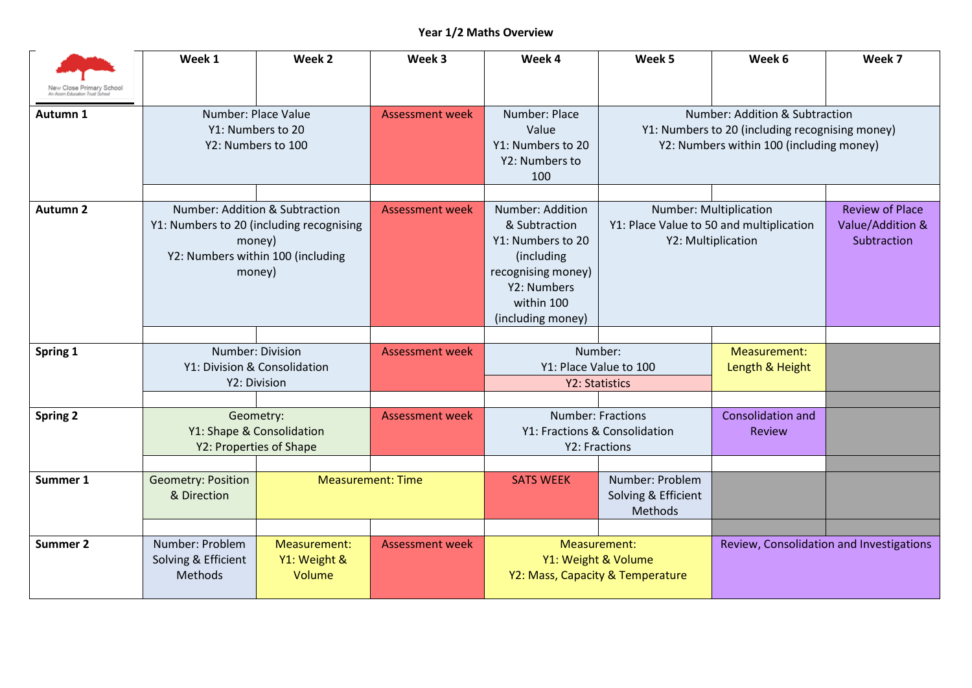## **Year 1/2 Maths Overview**

|                                                                           | Week 1                                                            | Week 2                                                                                            | Week 3                   | Week 4                                                                                                                                       | Week 5                                                                     | Week 6                                                                                   | Week 7                                                    |  |
|---------------------------------------------------------------------------|-------------------------------------------------------------------|---------------------------------------------------------------------------------------------------|--------------------------|----------------------------------------------------------------------------------------------------------------------------------------------|----------------------------------------------------------------------------|------------------------------------------------------------------------------------------|-----------------------------------------------------------|--|
| New Close P <mark>rimar</mark> y School<br>In Acom Education Trust School |                                                                   |                                                                                                   |                          |                                                                                                                                              |                                                                            |                                                                                          |                                                           |  |
| Autumn 1                                                                  | Number: Place Value<br>Y1: Numbers to 20<br>Y2: Numbers to 100    |                                                                                                   | <b>Assessment week</b>   | Number: Place<br>Value<br>Y1: Numbers to 20<br>Y2: Numbers to<br>100                                                                         | Y1: Numbers to 20 (including recognising money)                            | Number: Addition & Subtraction<br>Y2: Numbers within 100 (including money)               |                                                           |  |
|                                                                           |                                                                   |                                                                                                   |                          |                                                                                                                                              |                                                                            |                                                                                          |                                                           |  |
| <b>Autumn 2</b>                                                           | Number: Addition & Subtraction                                    | Y1: Numbers to 20 (including recognising<br>money)<br>Y2: Numbers within 100 (including<br>money) | <b>Assessment week</b>   | Number: Addition<br>& Subtraction<br>Y1: Numbers to 20<br>(including<br>recognising money)<br>Y2: Numbers<br>within 100<br>(including money) |                                                                            | Number: Multiplication<br>Y1: Place Value to 50 and multiplication<br>Y2: Multiplication | <b>Review of Place</b><br>Value/Addition &<br>Subtraction |  |
|                                                                           |                                                                   |                                                                                                   |                          |                                                                                                                                              |                                                                            |                                                                                          |                                                           |  |
| Spring 1                                                                  | Number: Division<br>Y1: Division & Consolidation<br>Y2: Division  |                                                                                                   | <b>Assessment week</b>   |                                                                                                                                              | Number:<br>Y1: Place Value to 100<br>Y2: Statistics                        | Measurement:<br>Length & Height                                                          |                                                           |  |
|                                                                           |                                                                   |                                                                                                   |                          |                                                                                                                                              |                                                                            |                                                                                          |                                                           |  |
| <b>Spring 2</b>                                                           | Geometry:<br>Y1: Shape & Consolidation<br>Y2: Properties of Shape |                                                                                                   | <b>Assessment week</b>   |                                                                                                                                              | <b>Number: Fractions</b><br>Y1: Fractions & Consolidation<br>Y2: Fractions | Consolidation and<br><b>Review</b>                                                       |                                                           |  |
| Summer 1                                                                  | <b>Geometry: Position</b><br>& Direction                          |                                                                                                   | <b>Measurement: Time</b> | <b>SATS WEEK</b>                                                                                                                             | Number: Problem<br>Solving & Efficient<br>Methods                          |                                                                                          |                                                           |  |
|                                                                           |                                                                   |                                                                                                   |                          |                                                                                                                                              |                                                                            |                                                                                          |                                                           |  |
| <b>Summer 2</b>                                                           | Number: Problem<br>Solving & Efficient<br>Methods                 | Measurement:<br>Y1: Weight &<br>Volume                                                            | <b>Assessment week</b>   |                                                                                                                                              | Measurement:<br>Y1: Weight & Volume<br>Y2: Mass, Capacity & Temperature    |                                                                                          | Review, Consolidation and Investigations                  |  |